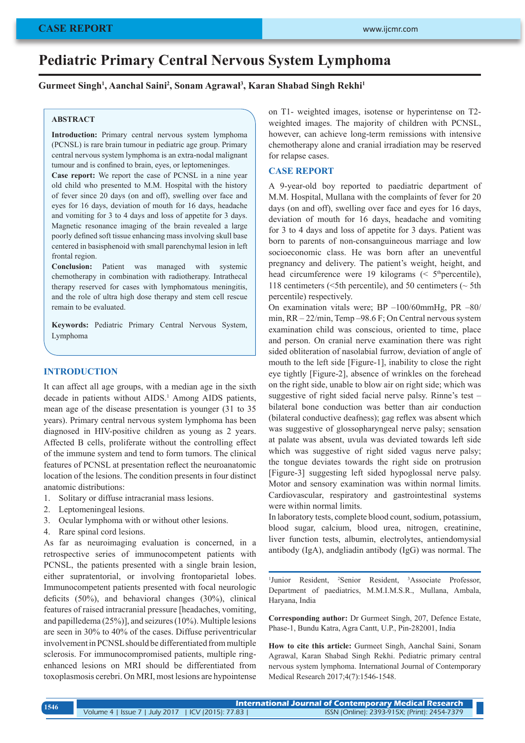# **Pediatric Primary Central Nervous System Lymphoma**

## **Gurmeet Singh1 , Aanchal Saini2 , Sonam Agrawal3 , Karan Shabad Singh Rekhi1**

# **ABSTRACT**

**Introduction:** Primary central nervous system lymphoma (PCNSL) is rare brain tumour in pediatric age group. Primary central nervous system lymphoma is an extra-nodal malignant tumour and is confined to brain, eyes, or leptomeninges.

**Case report:** We report the case of PCNSL in a nine year old child who presented to M.M. Hospital with the history of fever since 20 days (on and off), swelling over face and eyes for 16 days, deviation of mouth for 16 days, headache and vomiting for 3 to 4 days and loss of appetite for 3 days. Magnetic resonance imaging of the brain revealed a large poorly defined soft tissue enhancing mass involving skull base centered in basisphenoid with small parenchymal lesion in left frontal region.

**Conclusion:** Patient was managed with systemic chemotherapy in combination with radiotherapy. Intrathecal therapy reserved for cases with lymphomatous meningitis, and the role of ultra high dose therapy and stem cell rescue remain to be evaluated.

**Keywords:** Pediatric Primary Central Nervous System, Lymphoma

# **INTRODUCTION**

It can affect all age groups, with a median age in the sixth decade in patients without AIDS.<sup>1</sup> Among AIDS patients, mean age of the disease presentation is younger (31 to 35 years). Primary central nervous system lymphoma has been diagnosed in HIV-positive children as young as 2 years. Affected B cells, proliferate without the controlling effect of the immune system and tend to form tumors. The clinical features of PCNSL at presentation reflect the neuroanatomic location of the lesions. The condition presents in four distinct anatomic distributions:

- 1. Solitary or diffuse intracranial mass lesions.
- 2. Leptomeningeal lesions.
- 3. Ocular lymphoma with or without other lesions.
- 4. Rare spinal cord lesions.

As far as neuroimaging evaluation is concerned, in a retrospective series of immunocompetent patients with PCNSL, the patients presented with a single brain lesion, either supratentorial, or involving frontoparietal lobes. Immunocompetent patients presented with focal neurologic deficits (50%), and behavioral changes (30%), clinical features of raised intracranial pressure [headaches, vomiting, and papilledema (25%)], and seizures (10%). Multiple lesions are seen in 30% to 40% of the cases. Diffuse periventricular involvement in PCNSL should be differentiated from multiple sclerosis. For immunocompromised patients, multiple ringenhanced lesions on MRI should be differentiated from toxoplasmosis cerebri. On MRI, most lesions are hypointense on T1- weighted images, isotense or hyperintense on T2 weighted images. The majority of children with PCNSL, however, can achieve long-term remissions with intensive chemotherapy alone and cranial irradiation may be reserved for relapse cases.

# **CASE REPORT**

A 9-year-old boy reported to paediatric department of M.M. Hospital, Mullana with the complaints of fever for 20 days (on and off), swelling over face and eyes for 16 days, deviation of mouth for 16 days, headache and vomiting for 3 to 4 days and loss of appetite for 3 days. Patient was born to parents of non-consanguineous marriage and low socioeconomic class. He was born after an uneventful pregnancy and delivery. The patient's weight, height, and head circumference were 19 kilograms ( $\leq$  5<sup>th</sup> percentile), 118 centimeters ( $5th$  percentile), and 50 centimeters ( $\sim$  5th percentile) respectively.

On examination vitals were; BP –100/60mmHg, PR –80/ min, RR – 22/min, Temp –98.6 F; On Central nervous system examination child was conscious, oriented to time, place and person. On cranial nerve examination there was right sided obliteration of nasolabial furrow, deviation of angle of mouth to the left side [Figure-1], inability to close the right eye tightly [Figure-2], absence of wrinkles on the forehead on the right side, unable to blow air on right side; which was suggestive of right sided facial nerve palsy. Rinne's test – bilateral bone conduction was better than air conduction (bilateral conductive deafness); gag reflex was absent which was suggestive of glossopharyngeal nerve palsy; sensation at palate was absent, uvula was deviated towards left side which was suggestive of right sided vagus nerve palsy; the tongue deviates towards the right side on protrusion [Figure-3] suggesting left sided hypoglossal nerve palsy. Motor and sensory examination was within normal limits. Cardiovascular, respiratory and gastrointestinal systems were within normal limits.

In laboratory tests, complete blood count, sodium, potassium, blood sugar, calcium, blood urea, nitrogen, creatinine, liver function tests, albumin, electrolytes, antiendomysial antibody (IgA), andgliadin antibody (IgG) was normal. The

<sup>1</sup>Junior Resident, <sup>2</sup> Senior Resident, <sup>3</sup>Associate Professor, Department of paediatrics, M.M.I.M.S.R., Mullana, Ambala, Haryana, India

**Corresponding author:** Dr Gurmeet Singh, 207, Defence Estate, Phase-1, Bundu Katra, Agra Cantt, U.P., Pin-282001, India

**How to cite this article:** Gurmeet Singh, Aanchal Saini, Sonam Agrawal, Karan Shabad Singh Rekhi. Pediatric primary central nervous system lymphoma. International Journal of Contemporary Medical Research 2017;4(7):1546-1548.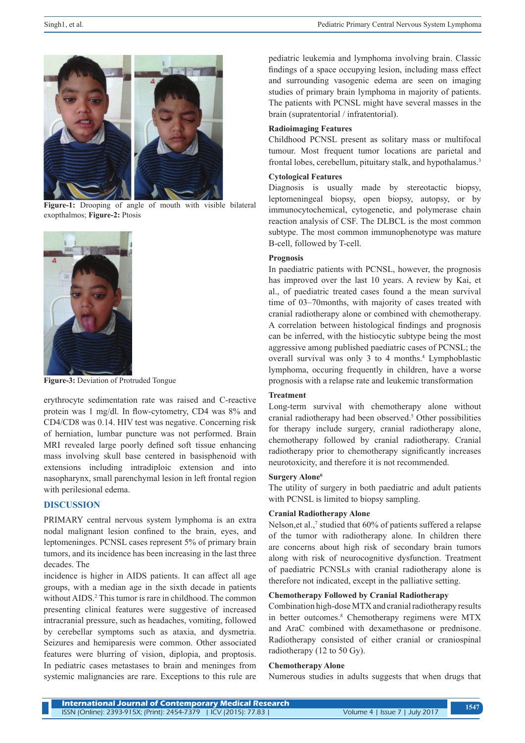

**Figure-1:** Drooping of angle of mouth with visible bilateral exopthalmos; **Figure-2:** Ptosis



**Figure-3:** Deviation of Protruded Tongue

erythrocyte sedimentation rate was raised and C-reactive protein was 1 mg/dl. In flow-cytometry, CD4 was 8% and CD4/CD8 was 0.14. HIV test was negative. Concerning risk of herniation, lumbar puncture was not performed. Brain MRI revealed large poorly defined soft tissue enhancing mass involving skull base centered in basisphenoid with extensions including intradiploic extension and into nasopharynx, small parenchymal lesion in left frontal region with perilesional edema.

## **DISCUSSION**

PRIMARY central nervous system lymphoma is an extra nodal malignant lesion confined to the brain, eyes, and leptomeninges. PCNSL cases represent 5% of primary brain tumors, and its incidence has been increasing in the last three decades. The

incidence is higher in AIDS patients. It can affect all age groups, with a median age in the sixth decade in patients without AIDS.<sup>2</sup> This tumor is rare in childhood. The common presenting clinical features were suggestive of increased intracranial pressure, such as headaches, vomiting, followed by cerebellar symptoms such as ataxia, and dysmetria. Seizures and hemiparesis were common. Other associated features were blurring of vision, diplopia, and proptosis. In pediatric cases metastases to brain and meninges from systemic malignancies are rare. Exceptions to this rule are

pediatric leukemia and lymphoma involving brain. Classic findings of a space occupying lesion, including mass effect and surrounding vasogenic edema are seen on imaging studies of primary brain lymphoma in majority of patients. The patients with PCNSL might have several masses in the brain (supratentorial / infratentorial).

### **Radioimaging Features**

Childhood PCNSL present as solitary mass or multifocal tumour. Most frequent tumor locations are parietal and frontal lobes, cerebellum, pituitary stalk, and hypothalamus.<sup>3</sup>

#### **Cytological Features**

Diagnosis is usually made by stereotactic biopsy, leptomeningeal biopsy, open biopsy, autopsy, or by immunocytochemical, cytogenetic, and polymerase chain reaction analysis of CSF. The DLBCL is the most common subtype. The most common immunophenotype was mature B-cell, followed by T-cell.

### **Prognosis**

In paediatric patients with PCNSL, however, the prognosis has improved over the last 10 years. A review by Kai, et al., of paediatric treated cases found a the mean survival time of 03–70months, with majority of cases treated with cranial radiotherapy alone or combined with chemotherapy. A correlation between histological findings and prognosis can be inferred, with the histiocytic subtype being the most aggressive among published paediatric cases of PCNSL; the overall survival was only 3 to 4 months.<sup>4</sup> Lymphoblastic lymphoma, occuring frequently in children, have a worse prognosis with a relapse rate and leukemic transformation

## **Treatment**

Long-term survival with chemotherapy alone without cranial radiotherapy had been observed.<sup>5</sup> Other possibilities for therapy include surgery, cranial radiotherapy alone, chemotherapy followed by cranial radiotherapy. Cranial radiotherapy prior to chemotherapy significantly increases neurotoxicity, and therefore it is not recommended.

#### **Surgery Alone6**

The utility of surgery in both paediatric and adult patients with PCNSL is limited to biopsy sampling.

#### **Cranial Radiotherapy Alone**

Nelson, et al.,<sup>7</sup> studied that 60% of patients suffered a relapse of the tumor with radiotherapy alone. In children there are concerns about high risk of secondary brain tumors along with risk of neurocognitive dysfunction. Treatment of paediatric PCNSLs with cranial radiotherapy alone is therefore not indicated, except in the palliative setting.

# **Chemotherapy Followed by Cranial Radiotherapy**

Combination high-dose MTX and cranial radiotherapy results in better outcomes.<sup>8</sup> Chemotherapy regimens were MTX and AraC combined with dexamethasone or prednisone. Radiotherapy consisted of either cranial or craniospinal radiotherapy (12 to 50 Gy).

#### **Chemotherapy Alone**

Numerous studies in adults suggests that when drugs that